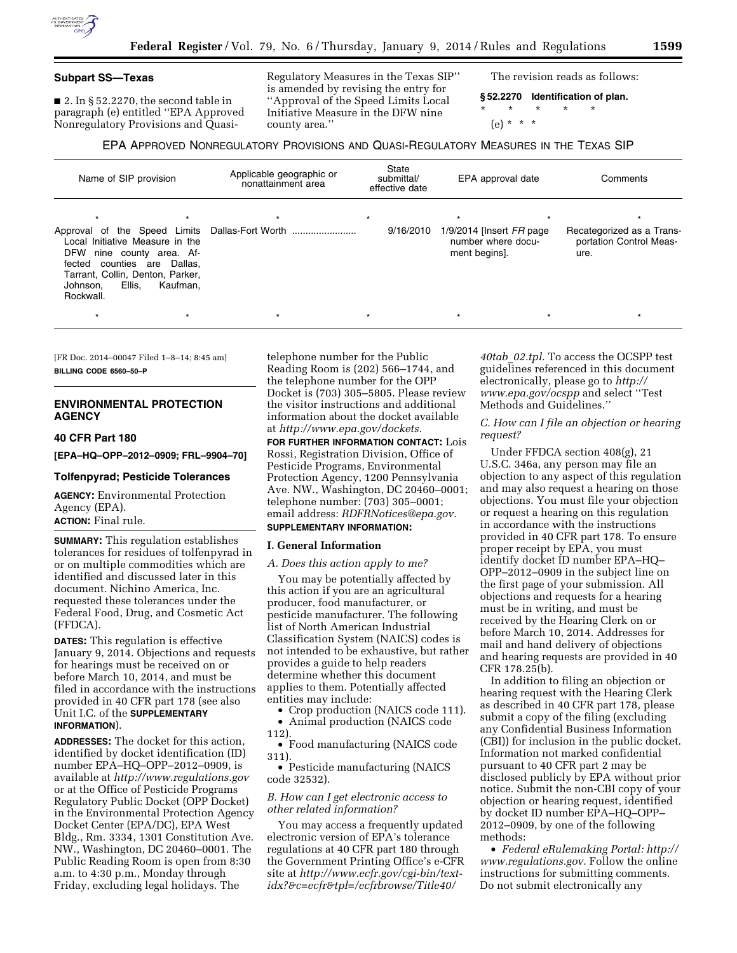## **Subpart SS—Texas**

 $\blacksquare$  2. In § 52.2270, the second table in paragraph (e) entitled ''EPA Approved Nonregulatory Provisions and QuasiRegulatory Measures in the Texas SIP'' is amended by revising the entry for ''Approval of the Speed Limits Local Initiative Measure in the DFW nine county area.''

The revision reads as follows:

**§ 52.2270 Identification of plan.**  \* \* \* \* \*

(e) \* \* \*

## EPA APPROVED NONREGULATORY PROVISIONS AND QUASI-REGULATORY MEASURES IN THE TEXAS SIP

| Name of SIP provision                                                                                                                           | Applicable geographic or<br>nonattainment area | State<br>submittal/<br>effective date | EPA approval date                                                   | Comments                                                     |
|-------------------------------------------------------------------------------------------------------------------------------------------------|------------------------------------------------|---------------------------------------|---------------------------------------------------------------------|--------------------------------------------------------------|
| Local Initiative Measure in the<br><b>DFW</b><br>nine county area. Af-<br>counties are<br>Dallas.<br>fected<br>Tarrant, Collin, Denton, Parker, |                                                | $\star$<br>9/16/2010                  | $1/9/2014$ [lnsert $FR$ page<br>number where docu-<br>ment begins]. | Recategorized as a Trans-<br>portation Control Meas-<br>ure. |
| Ellis.<br>Kaufman.<br>Johnson.<br>Rockwall.                                                                                                     |                                                |                                       |                                                                     |                                                              |

[FR Doc. 2014–00047 Filed 1–8–14; 8:45 am] **BILLING CODE 6560–50–P** 

## **ENVIRONMENTAL PROTECTION AGENCY**

## **40 CFR Part 180**

**[EPA–HQ–OPP–2012–0909; FRL–9904–70]** 

## **Tolfenpyrad; Pesticide Tolerances**

**AGENCY:** Environmental Protection Agency (EPA).

# **ACTION:** Final rule.

**SUMMARY:** This regulation establishes tolerances for residues of tolfenpyrad in or on multiple commodities which are identified and discussed later in this document. Nichino America, Inc. requested these tolerances under the Federal Food, Drug, and Cosmetic Act (FFDCA).

**DATES:** This regulation is effective January 9, 2014. Objections and requests for hearings must be received on or before March 10, 2014, and must be filed in accordance with the instructions provided in 40 CFR part 178 (see also Unit I.C. of the **SUPPLEMENTARY INFORMATION**).

**ADDRESSES:** The docket for this action, identified by docket identification (ID) number EPA–HQ–OPP–2012–0909, is available at *<http://www.regulations.gov>* or at the Office of Pesticide Programs Regulatory Public Docket (OPP Docket) in the Environmental Protection Agency Docket Center (EPA/DC), EPA West Bldg., Rm. 3334, 1301 Constitution Ave. NW., Washington, DC 20460–0001. The Public Reading Room is open from 8:30 a.m. to 4:30 p.m., Monday through Friday, excluding legal holidays. The

telephone number for the Public Reading Room is (202) 566–1744, and the telephone number for the OPP Docket is (703) 305–5805. Please review the visitor instructions and additional information about the docket available at *[http://www.epa.gov/dockets.](http://www.epa.gov/dockets)* 

**FOR FURTHER INFORMATION CONTACT:** Lois Rossi, Registration Division, Office of Pesticide Programs, Environmental Protection Agency, 1200 Pennsylvania Ave. NW., Washington, DC 20460–0001; telephone number: (703) 305–0001; email address: *[RDFRNotices@epa.gov.](mailto:RDFRNotices@epa.gov)*  **SUPPLEMENTARY INFORMATION:** 

## **I. General Information**

## *A. Does this action apply to me?*

You may be potentially affected by this action if you are an agricultural producer, food manufacturer, or pesticide manufacturer. The following list of North American Industrial Classification System (NAICS) codes is not intended to be exhaustive, but rather provides a guide to help readers determine whether this document applies to them. Potentially affected entities may include:

• Crop production (NAICS code 111). • Animal production (NAICS code

112).

• Food manufacturing (NAICS code 311).

• Pesticide manufacturing (NAICS code 32532).

## *B. How can I get electronic access to other related information?*

You may access a frequently updated electronic version of EPA's tolerance regulations at 40 CFR part 180 through the Government Printing Office's e-CFR site at *http://www.ecfr.gov/cgi-bin/textidx?&c=ecfr&tpl=/ecfrbrowse/Title40/*

*40tab*\_*02.tpl.* To access the OCSPP test guidelines referenced in this document electronically, please go to *[http://](http://www.epa.gov/ocspp) [www.epa.gov/ocspp](http://www.epa.gov/ocspp)* and select ''Test Methods and Guidelines.''

## *C. How can I file an objection or hearing request?*

Under FFDCA section 408(g), 21 U.S.C. 346a, any person may file an objection to any aspect of this regulation and may also request a hearing on those objections. You must file your objection or request a hearing on this regulation in accordance with the instructions provided in 40 CFR part 178. To ensure proper receipt by EPA, you must identify docket ID number EPA–HQ– OPP–2012–0909 in the subject line on the first page of your submission. All objections and requests for a hearing must be in writing, and must be received by the Hearing Clerk on or before March 10, 2014. Addresses for mail and hand delivery of objections and hearing requests are provided in 40 CFR 178.25(b).

In addition to filing an objection or hearing request with the Hearing Clerk as described in 40 CFR part 178, please submit a copy of the filing (excluding any Confidential Business Information (CBI)) for inclusion in the public docket. Information not marked confidential pursuant to 40 CFR part 2 may be disclosed publicly by EPA without prior notice. Submit the non-CBI copy of your objection or hearing request, identified by docket ID number EPA–HQ–OPP– 2012–0909, by one of the following methods:

• *Federal eRulemaking Portal: [http://](http://www.regulations.gov)  [www.regulations.gov](http://www.regulations.gov)*. Follow the online instructions for submitting comments. Do not submit electronically any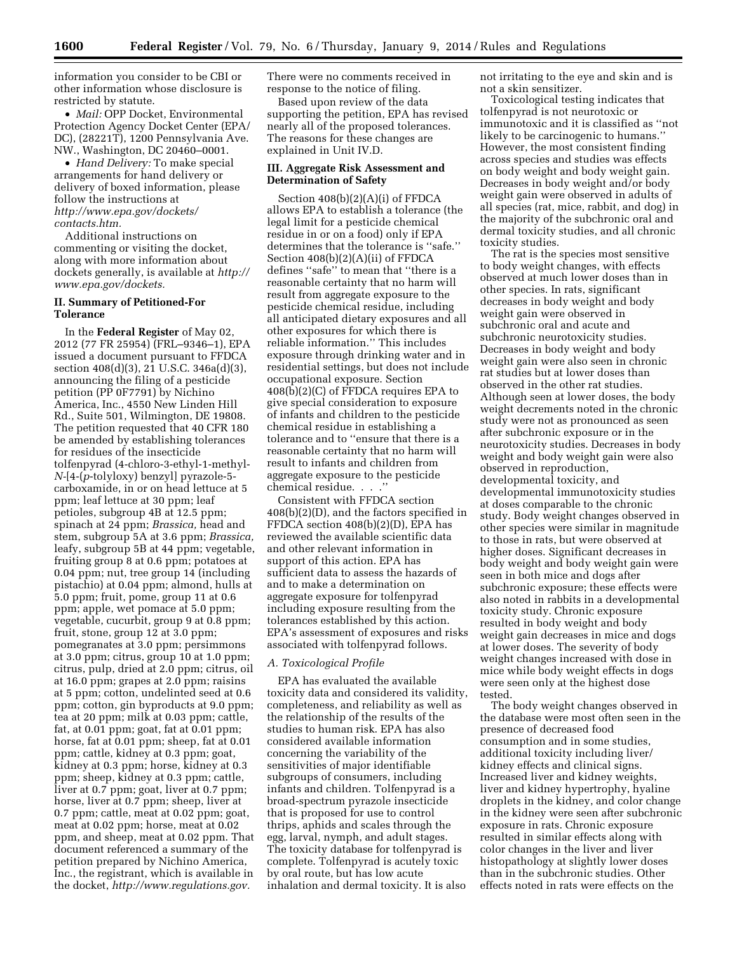information you consider to be CBI or other information whose disclosure is restricted by statute.

• *Mail:* OPP Docket, Environmental Protection Agency Docket Center (EPA/ DC), (28221T), 1200 Pennsylvania Ave. NW., Washington, DC 20460–0001.

• *Hand Delivery:* To make special arrangements for hand delivery or delivery of boxed information, please follow the instructions at *[http://www.epa.gov/dockets/](http://www.epa.gov/dockets/contacts.htm) [contacts.htm.](http://www.epa.gov/dockets/contacts.htm)* 

Additional instructions on commenting or visiting the docket, along with more information about dockets generally, is available at *[http://](http://www.epa.gov/dockets) [www.epa.gov/dockets.](http://www.epa.gov/dockets)* 

## **II. Summary of Petitioned-For Tolerance**

In the **Federal Register** of May 02, 2012 (77 FR 25954) (FRL–9346–1), EPA issued a document pursuant to FFDCA section 408(d)(3), 21 U.S.C. 346a(d)(3), announcing the filing of a pesticide petition (PP 0F7791) by Nichino America, Inc., 4550 New Linden Hill Rd., Suite 501, Wilmington, DE 19808. The petition requested that 40 CFR 180 be amended by establishing tolerances for residues of the insecticide tolfenpyrad (4-chloro-3-ethyl-1-methyl-*N-*[4-(*p*-tolyloxy) benzyl] pyrazole-5 carboxamide, in or on head lettuce at 5 ppm; leaf lettuce at 30 ppm; leaf petioles, subgroup 4B at 12.5 ppm; spinach at 24 ppm; *Brassica,* head and stem, subgroup 5A at 3.6 ppm; *Brassica,*  leafy, subgroup 5B at 44 ppm; vegetable, fruiting group 8 at 0.6 ppm; potatoes at 0.04 ppm; nut, tree group 14 (including pistachio) at 0.04 ppm; almond, hulls at 5.0 ppm; fruit, pome, group 11 at 0.6 ppm; apple, wet pomace at 5.0 ppm; vegetable, cucurbit, group 9 at 0.8 ppm; fruit, stone, group 12 at 3.0 ppm; pomegranates at 3.0 ppm; persimmons at 3.0 ppm; citrus, group 10 at 1.0 ppm; citrus, pulp, dried at 2.0 ppm; citrus, oil at 16.0 ppm; grapes at 2.0 ppm; raisins at 5 ppm; cotton, undelinted seed at 0.6 ppm; cotton, gin byproducts at 9.0 ppm; tea at 20 ppm; milk at 0.03 ppm; cattle, fat, at 0.01 ppm; goat, fat at 0.01 ppm; horse, fat at 0.01 ppm; sheep, fat at 0.01 ppm; cattle, kidney at 0.3 ppm; goat, kidney at 0.3 ppm; horse, kidney at 0.3 ppm; sheep, kidney at 0.3 ppm; cattle, liver at 0.7 ppm; goat, liver at 0.7 ppm; horse, liver at 0.7 ppm; sheep, liver at 0.7 ppm; cattle, meat at 0.02 ppm; goat, meat at 0.02 ppm; horse, meat at 0.02 ppm, and sheep, meat at 0.02 ppm. That document referenced a summary of the petition prepared by Nichino America, Inc., the registrant, which is available in the docket, *[http://www.regulations.gov.](http://www.regulations.gov)* 

There were no comments received in response to the notice of filing.

Based upon review of the data supporting the petition, EPA has revised nearly all of the proposed tolerances. The reasons for these changes are explained in Unit IV.D.

## **III. Aggregate Risk Assessment and Determination of Safety**

Section 408(b)(2)(A)(i) of FFDCA allows EPA to establish a tolerance (the legal limit for a pesticide chemical residue in or on a food) only if EPA determines that the tolerance is ''safe.'' Section 408(b)(2)(A)(ii) of FFDCA defines ''safe'' to mean that ''there is a reasonable certainty that no harm will result from aggregate exposure to the pesticide chemical residue, including all anticipated dietary exposures and all other exposures for which there is reliable information.'' This includes exposure through drinking water and in residential settings, but does not include occupational exposure. Section 408(b)(2)(C) of FFDCA requires EPA to give special consideration to exposure of infants and children to the pesticide chemical residue in establishing a tolerance and to ''ensure that there is a reasonable certainty that no harm will result to infants and children from aggregate exposure to the pesticide chemical residue. . . .''

Consistent with FFDCA section 408(b)(2)(D), and the factors specified in FFDCA section 408(b)(2)(D), EPA has reviewed the available scientific data and other relevant information in support of this action. EPA has sufficient data to assess the hazards of and to make a determination on aggregate exposure for tolfenpyrad including exposure resulting from the tolerances established by this action. EPA's assessment of exposures and risks associated with tolfenpyrad follows.

## *A. Toxicological Profile*

EPA has evaluated the available toxicity data and considered its validity, completeness, and reliability as well as the relationship of the results of the studies to human risk. EPA has also considered available information concerning the variability of the sensitivities of major identifiable subgroups of consumers, including infants and children. Tolfenpyrad is a broad-spectrum pyrazole insecticide that is proposed for use to control thrips, aphids and scales through the egg, larval, nymph, and adult stages. The toxicity database for tolfenpyrad is complete. Tolfenpyrad is acutely toxic by oral route, but has low acute inhalation and dermal toxicity. It is also

not irritating to the eye and skin and is not a skin sensitizer.

Toxicological testing indicates that tolfenpyrad is not neurotoxic or immunotoxic and it is classified as ''not likely to be carcinogenic to humans.'' However, the most consistent finding across species and studies was effects on body weight and body weight gain. Decreases in body weight and/or body weight gain were observed in adults of all species (rat, mice, rabbit, and dog) in the majority of the subchronic oral and dermal toxicity studies, and all chronic toxicity studies.

The rat is the species most sensitive to body weight changes, with effects observed at much lower doses than in other species. In rats, significant decreases in body weight and body weight gain were observed in subchronic oral and acute and subchronic neurotoxicity studies. Decreases in body weight and body weight gain were also seen in chronic rat studies but at lower doses than observed in the other rat studies. Although seen at lower doses, the body weight decrements noted in the chronic study were not as pronounced as seen after subchronic exposure or in the neurotoxicity studies. Decreases in body weight and body weight gain were also observed in reproduction, developmental toxicity, and developmental immunotoxicity studies at doses comparable to the chronic study. Body weight changes observed in other species were similar in magnitude to those in rats, but were observed at higher doses. Significant decreases in body weight and body weight gain were seen in both mice and dogs after subchronic exposure; these effects were also noted in rabbits in a developmental toxicity study. Chronic exposure resulted in body weight and body weight gain decreases in mice and dogs at lower doses. The severity of body weight changes increased with dose in mice while body weight effects in dogs were seen only at the highest dose tested.

The body weight changes observed in the database were most often seen in the presence of decreased food consumption and in some studies, additional toxicity including liver/ kidney effects and clinical signs. Increased liver and kidney weights, liver and kidney hypertrophy, hyaline droplets in the kidney, and color change in the kidney were seen after subchronic exposure in rats. Chronic exposure resulted in similar effects along with color changes in the liver and liver histopathology at slightly lower doses than in the subchronic studies. Other effects noted in rats were effects on the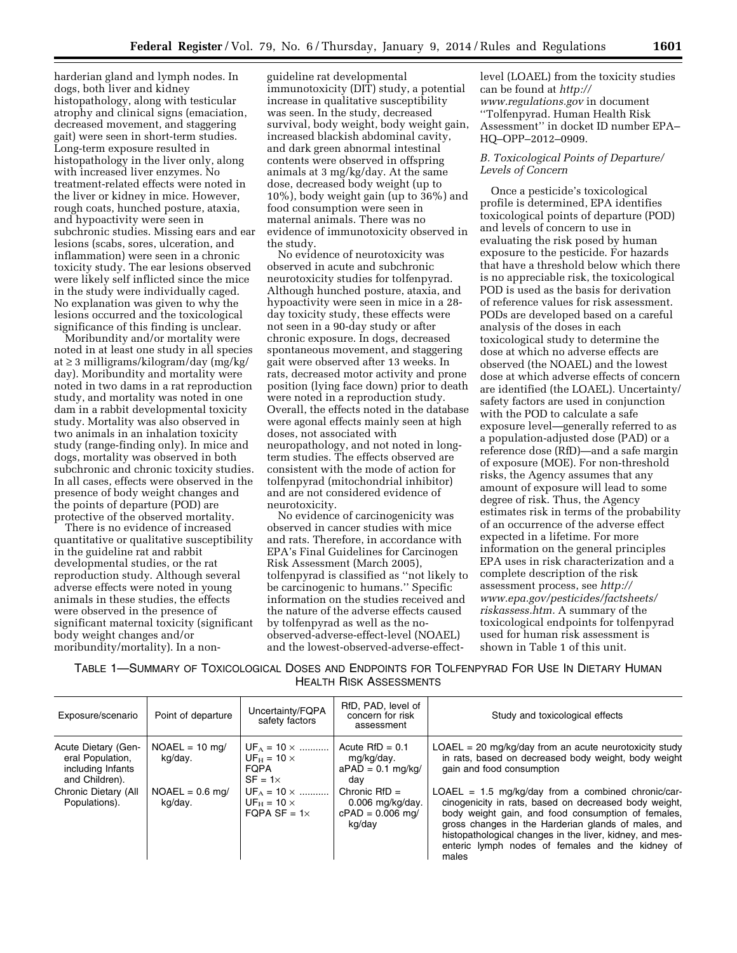harderian gland and lymph nodes. In dogs, both liver and kidney histopathology, along with testicular atrophy and clinical signs (emaciation, decreased movement, and staggering gait) were seen in short-term studies. Long-term exposure resulted in histopathology in the liver only, along with increased liver enzymes. No treatment-related effects were noted in the liver or kidney in mice. However, rough coats, hunched posture, ataxia, and hypoactivity were seen in subchronic studies. Missing ears and ear lesions (scabs, sores, ulceration, and inflammation) were seen in a chronic toxicity study. The ear lesions observed were likely self inflicted since the mice in the study were individually caged. No explanation was given to why the lesions occurred and the toxicological significance of this finding is unclear.

Moribundity and/or mortality were noted in at least one study in all species at ≥ 3 milligrams/kilogram/day (mg/kg/ day). Moribundity and mortality were noted in two dams in a rat reproduction study, and mortality was noted in one dam in a rabbit developmental toxicity study. Mortality was also observed in two animals in an inhalation toxicity study (range-finding only). In mice and dogs, mortality was observed in both subchronic and chronic toxicity studies. In all cases, effects were observed in the presence of body weight changes and the points of departure (POD) are protective of the observed mortality.

There is no evidence of increased quantitative or qualitative susceptibility in the guideline rat and rabbit developmental studies, or the rat reproduction study. Although several adverse effects were noted in young animals in these studies, the effects were observed in the presence of significant maternal toxicity (significant body weight changes and/or moribundity/mortality). In a non-

guideline rat developmental immunotoxicity (DIT) study, a potential increase in qualitative susceptibility was seen. In the study, decreased survival, body weight, body weight gain, increased blackish abdominal cavity, and dark green abnormal intestinal contents were observed in offspring animals at 3 mg/kg/day. At the same dose, decreased body weight (up to 10%), body weight gain (up to 36%) and food consumption were seen in maternal animals. There was no evidence of immunotoxicity observed in the study.

No evidence of neurotoxicity was observed in acute and subchronic neurotoxicity studies for tolfenpyrad. Although hunched posture, ataxia, and hypoactivity were seen in mice in a 28 day toxicity study, these effects were not seen in a 90-day study or after chronic exposure. In dogs, decreased spontaneous movement, and staggering gait were observed after 13 weeks. In rats, decreased motor activity and prone position (lying face down) prior to death were noted in a reproduction study. Overall, the effects noted in the database were agonal effects mainly seen at high doses, not associated with neuropathology, and not noted in longterm studies. The effects observed are consistent with the mode of action for tolfenpyrad (mitochondrial inhibitor) and are not considered evidence of neurotoxicity.

No evidence of carcinogenicity was observed in cancer studies with mice and rats. Therefore, in accordance with EPA's Final Guidelines for Carcinogen Risk Assessment (March 2005), tolfenpyrad is classified as ''not likely to be carcinogenic to humans.'' Specific information on the studies received and the nature of the adverse effects caused by tolfenpyrad as well as the noobserved-adverse-effect-level (NOAEL) and the lowest-observed-adverse-effectlevel (LOAEL) from the toxicity studies can be found at *[http://](http://www.regulations.gov) [www.regulations.gov](http://www.regulations.gov)* in document ''Tolfenpyrad. Human Health Risk Assessment'' in docket ID number EPA– HQ–OPP–2012–0909.

## *B. Toxicological Points of Departure/ Levels of Concern*

Once a pesticide's toxicological profile is determined, EPA identifies toxicological points of departure (POD) and levels of concern to use in evaluating the risk posed by human exposure to the pesticide. For hazards that have a threshold below which there is no appreciable risk, the toxicological POD is used as the basis for derivation of reference values for risk assessment. PODs are developed based on a careful analysis of the doses in each toxicological study to determine the dose at which no adverse effects are observed (the NOAEL) and the lowest dose at which adverse effects of concern are identified (the LOAEL). Uncertainty/ safety factors are used in conjunction with the POD to calculate a safe exposure level—generally referred to as a population-adjusted dose (PAD) or a reference dose (RfD)—and a safe margin of exposure (MOE). For non-threshold risks, the Agency assumes that any amount of exposure will lead to some degree of risk. Thus, the Agency estimates risk in terms of the probability of an occurrence of the adverse effect expected in a lifetime. For more information on the general principles EPA uses in risk characterization and a complete description of the risk assessment process, see *[http://](http://www.epa.gov/pesticides/factsheets/riskassess.htm) [www.epa.gov/pesticides/factsheets/](http://www.epa.gov/pesticides/factsheets/riskassess.htm) [riskassess.htm.](http://www.epa.gov/pesticides/factsheets/riskassess.htm)* A summary of the toxicological endpoints for tolfenpyrad used for human risk assessment is shown in Table 1 of this unit.

TABLE 1—SUMMARY OF TOXICOLOGICAL DOSES AND ENDPOINTS FOR TOLFENPYRAD FOR USE IN DIETARY HUMAN HEALTH RISK ASSESSMENTS

| Exposure/scenario                                                              | Point of departure           | Uncertainty/FQPA<br>safety factors                                         | RfD, PAD, level of<br>concern for risk<br>assessment                  | Study and toxicological effects                                                                                                                                                                                                                                                                                                                     |
|--------------------------------------------------------------------------------|------------------------------|----------------------------------------------------------------------------|-----------------------------------------------------------------------|-----------------------------------------------------------------------------------------------------------------------------------------------------------------------------------------------------------------------------------------------------------------------------------------------------------------------------------------------------|
| Acute Dietary (Gen-<br>eral Population,<br>including Infants<br>and Children). | $NOAEL = 10$ mg/<br>kg/day.  | $UF_A = 10 \times$<br>$UF_H = 10 \times$<br><b>FOPA</b><br>$SF = 1 \times$ | Acute $RfD = 0.1$<br>mq/kq/day.<br>$aPAD = 0.1$ mg/kg/<br>dav         | $LOAEL = 20$ mg/kg/day from an acute neurotoxicity study<br>in rats, based on decreased body weight, body weight<br>gain and food consumption                                                                                                                                                                                                       |
| Chronic Dietary (All<br>Populations).                                          | $NOAEL = 0.6$ mg/<br>kg/day. | $UF_A = 10 \times$<br>$UF_H = 10 \times$<br>FOPA SF = $1 \times$           | Chronic $RfD =$<br>$0.006$ mg/kg/day.<br>$cPAD = 0.006$ mg/<br>kg/day | $LOAEL = 1.5$ mg/kg/day from a combined chronic/car-<br>cinogenicity in rats, based on decreased body weight,<br>body weight gain, and food consumption of females,<br>gross changes in the Harderian glands of males, and<br>histopathological changes in the liver, kidney, and mes-<br>enteric lymph nodes of females and the kidney of<br>males |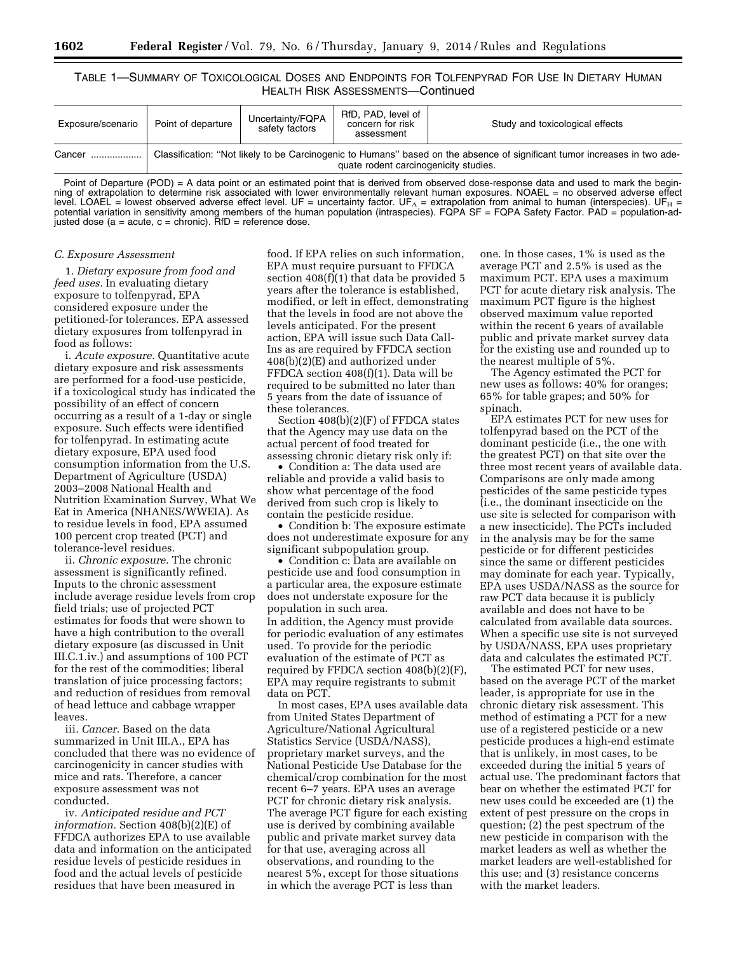## TABLE 1—SUMMARY OF TOXICOLOGICAL DOSES AND ENDPOINTS FOR TOLFENPYRAD FOR USE IN DIETARY HUMAN HEALTH RISK ASSESSMENTS—Continued

| Exposure/scenario | Point of departure | Uncertainty/FQPA<br>safety factors | RfD, PAD, level of<br>concern for risk<br>assessment | Study and toxicological effects                                                                                           |
|-------------------|--------------------|------------------------------------|------------------------------------------------------|---------------------------------------------------------------------------------------------------------------------------|
| Cancer            |                    |                                    | quate rodent carcinogenicity studies.                | Classification: "Not likely to be Carcinogenic to Humans" based on the absence of significant tumor increases in two ade- |

Point of Departure (POD) = A data point or an estimated point that is derived from observed dose-response data and used to mark the beginning of extrapolation to determine risk associated with lower environmentally relevant human exposures. NOAEL = no observed adverse effect level. LOAEL = lowest observed adverse effect level. UF = uncertainty factor. UF<sub>A</sub> = extrapolation from animal to human (interspecies). UF<sub>H</sub> = potential variation in sensitivity among members of the human population (intraspecies). FQPA SF = FQPA Safety Factor. PAD = population-adjusted dose (a = acute, c = chronic). RfD = reference dose.

#### *C. Exposure Assessment*

1. *Dietary exposure from food and feed uses.* In evaluating dietary exposure to tolfenpyrad, EPA considered exposure under the petitioned-for tolerances. EPA assessed dietary exposures from tolfenpyrad in food as follows:

i. *Acute exposure.* Quantitative acute dietary exposure and risk assessments are performed for a food-use pesticide, if a toxicological study has indicated the possibility of an effect of concern occurring as a result of a 1-day or single exposure. Such effects were identified for tolfenpyrad. In estimating acute dietary exposure, EPA used food consumption information from the U.S. Department of Agriculture (USDA) 2003–2008 National Health and Nutrition Examination Survey, What We Eat in America (NHANES/WWEIA). As to residue levels in food, EPA assumed 100 percent crop treated (PCT) and tolerance-level residues.

ii. *Chronic exposure.* The chronic assessment is significantly refined. Inputs to the chronic assessment include average residue levels from crop field trials; use of projected PCT estimates for foods that were shown to have a high contribution to the overall dietary exposure (as discussed in Unit III.C.1.iv.) and assumptions of 100 PCT for the rest of the commodities; liberal translation of juice processing factors; and reduction of residues from removal of head lettuce and cabbage wrapper leaves.

iii. *Cancer.* Based on the data summarized in Unit III.A., EPA has concluded that there was no evidence of carcinogenicity in cancer studies with mice and rats. Therefore, a cancer exposure assessment was not conducted.

iv. *Anticipated residue and PCT information.* Section 408(b)(2)(E) of FFDCA authorizes EPA to use available data and information on the anticipated residue levels of pesticide residues in food and the actual levels of pesticide residues that have been measured in

food. If EPA relies on such information, EPA must require pursuant to FFDCA section 408(f)(1) that data be provided 5 years after the tolerance is established, modified, or left in effect, demonstrating that the levels in food are not above the levels anticipated. For the present action, EPA will issue such Data Call-Ins as are required by FFDCA section 408(b)(2)(E) and authorized under FFDCA section 408(f)(1). Data will be required to be submitted no later than 5 years from the date of issuance of these tolerances.

Section 408(b)(2)(F) of FFDCA states that the Agency may use data on the actual percent of food treated for assessing chronic dietary risk only if:

• Condition a: The data used are reliable and provide a valid basis to show what percentage of the food derived from such crop is likely to contain the pesticide residue.

• Condition b: The exposure estimate does not underestimate exposure for any significant subpopulation group.

• Condition c: Data are available on pesticide use and food consumption in a particular area, the exposure estimate does not understate exposure for the population in such area.

In addition, the Agency must provide for periodic evaluation of any estimates used. To provide for the periodic evaluation of the estimate of PCT as required by FFDCA section 408(b)(2)(F), EPA may require registrants to submit data on PCT.

In most cases, EPA uses available data from United States Department of Agriculture/National Agricultural Statistics Service (USDA/NASS), proprietary market surveys, and the National Pesticide Use Database for the chemical/crop combination for the most recent 6–7 years. EPA uses an average PCT for chronic dietary risk analysis. The average PCT figure for each existing use is derived by combining available public and private market survey data for that use, averaging across all observations, and rounding to the nearest 5%, except for those situations in which the average PCT is less than

one. In those cases, 1% is used as the average PCT and 2.5% is used as the maximum PCT. EPA uses a maximum PCT for acute dietary risk analysis. The maximum PCT figure is the highest observed maximum value reported within the recent 6 years of available public and private market survey data for the existing use and rounded up to the nearest multiple of 5%.

The Agency estimated the PCT for new uses as follows: 40% for oranges; 65% for table grapes; and 50% for spinach.

EPA estimates PCT for new uses for tolfenpyrad based on the PCT of the dominant pesticide (i.e., the one with the greatest PCT) on that site over the three most recent years of available data. Comparisons are only made among pesticides of the same pesticide types (i.e., the dominant insecticide on the use site is selected for comparison with a new insecticide). The PCTs included in the analysis may be for the same pesticide or for different pesticides since the same or different pesticides may dominate for each year. Typically, EPA uses USDA/NASS as the source for raw PCT data because it is publicly available and does not have to be calculated from available data sources. When a specific use site is not surveyed by USDA/NASS, EPA uses proprietary data and calculates the estimated PCT.

The estimated PCT for new uses, based on the average PCT of the market leader, is appropriate for use in the chronic dietary risk assessment. This method of estimating a PCT for a new use of a registered pesticide or a new pesticide produces a high-end estimate that is unlikely, in most cases, to be exceeded during the initial 5 years of actual use. The predominant factors that bear on whether the estimated PCT for new uses could be exceeded are (1) the extent of pest pressure on the crops in question; (2) the pest spectrum of the new pesticide in comparison with the market leaders as well as whether the market leaders are well-established for this use; and (3) resistance concerns with the market leaders.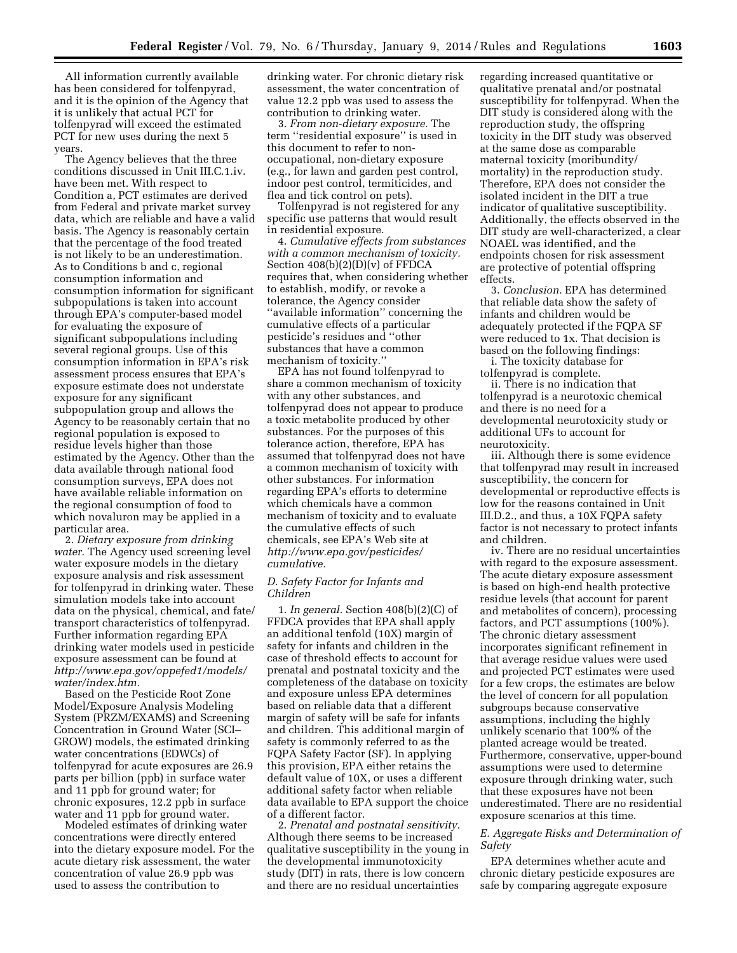All information currently available has been considered for tolfenpyrad, and it is the opinion of the Agency that it is unlikely that actual PCT for tolfenpyrad will exceed the estimated PCT for new uses during the next 5 years.

The Agency believes that the three conditions discussed in Unit III.C.1.iv. have been met. With respect to Condition a, PCT estimates are derived from Federal and private market survey data, which are reliable and have a valid basis. The Agency is reasonably certain that the percentage of the food treated is not likely to be an underestimation. As to Conditions b and c, regional consumption information and consumption information for significant subpopulations is taken into account through EPA's computer-based model for evaluating the exposure of significant subpopulations including several regional groups. Use of this consumption information in EPA's risk assessment process ensures that EPA's exposure estimate does not understate exposure for any significant subpopulation group and allows the Agency to be reasonably certain that no regional population is exposed to residue levels higher than those estimated by the Agency. Other than the data available through national food consumption surveys, EPA does not have available reliable information on the regional consumption of food to which novaluron may be applied in a particular area.

2. *Dietary exposure from drinking water.* The Agency used screening level water exposure models in the dietary exposure analysis and risk assessment for tolfenpyrad in drinking water. These simulation models take into account data on the physical, chemical, and fate/ transport characteristics of tolfenpyrad. Further information regarding EPA drinking water models used in pesticide exposure assessment can be found at *[http://www.epa.gov/oppefed1/models/](http://www.epa.gov/oppefed1/models/water/index.htm) [water/index.htm.](http://www.epa.gov/oppefed1/models/water/index.htm)* 

Based on the Pesticide Root Zone Model/Exposure Analysis Modeling System (PRZM/EXAMS) and Screening Concentration in Ground Water (SCI– GROW) models, the estimated drinking water concentrations (EDWCs) of tolfenpyrad for acute exposures are 26.9 parts per billion (ppb) in surface water and 11 ppb for ground water; for chronic exposures, 12.2 ppb in surface water and 11 ppb for ground water.

Modeled estimates of drinking water concentrations were directly entered into the dietary exposure model. For the acute dietary risk assessment, the water concentration of value 26.9 ppb was used to assess the contribution to

drinking water. For chronic dietary risk assessment, the water concentration of value 12.2 ppb was used to assess the contribution to drinking water.

3. *From non-dietary exposure.* The term ''residential exposure'' is used in this document to refer to nonoccupational, non-dietary exposure (e.g., for lawn and garden pest control, indoor pest control, termiticides, and flea and tick control on pets).

Tolfenpyrad is not registered for any specific use patterns that would result in residential exposure.

4. *Cumulative effects from substances with a common mechanism of toxicity.*  Section  $408(b)(2)(D)(v)$  of FFDCA requires that, when considering whether to establish, modify, or revoke a tolerance, the Agency consider ''available information'' concerning the cumulative effects of a particular pesticide's residues and ''other substances that have a common mechanism of toxicity.''

EPA has not found tolfenpyrad to share a common mechanism of toxicity with any other substances, and tolfenpyrad does not appear to produce a toxic metabolite produced by other substances. For the purposes of this tolerance action, therefore, EPA has assumed that tolfenpyrad does not have a common mechanism of toxicity with other substances. For information regarding EPA's efforts to determine which chemicals have a common mechanism of toxicity and to evaluate the cumulative effects of such chemicals, see EPA's Web site at *[http://www.epa.gov/pesticides/](http://www.epa.gov/pesticides/cumulative) [cumulative.](http://www.epa.gov/pesticides/cumulative)* 

## *D. Safety Factor for Infants and Children*

1. *In general.* Section 408(b)(2)(C) of FFDCA provides that EPA shall apply an additional tenfold (10X) margin of safety for infants and children in the case of threshold effects to account for prenatal and postnatal toxicity and the completeness of the database on toxicity and exposure unless EPA determines based on reliable data that a different margin of safety will be safe for infants and children. This additional margin of safety is commonly referred to as the FQPA Safety Factor (SF). In applying this provision, EPA either retains the default value of 10X, or uses a different additional safety factor when reliable data available to EPA support the choice of a different factor.

2. *Prenatal and postnatal sensitivity.*  Although there seems to be increased qualitative susceptibility in the young in the developmental immunotoxicity study (DIT) in rats, there is low concern and there are no residual uncertainties

regarding increased quantitative or qualitative prenatal and/or postnatal susceptibility for tolfenpyrad. When the DIT study is considered along with the reproduction study, the offspring toxicity in the DIT study was observed at the same dose as comparable maternal toxicity (moribundity/ mortality) in the reproduction study. Therefore, EPA does not consider the isolated incident in the DIT a true indicator of qualitative susceptibility. Additionally, the effects observed in the DIT study are well-characterized, a clear NOAEL was identified, and the endpoints chosen for risk assessment are protective of potential offspring effects.

3. *Conclusion.* EPA has determined that reliable data show the safety of infants and children would be adequately protected if the FQPA SF were reduced to 1x. That decision is based on the following findings:

i. The toxicity database for tolfenpyrad is complete.

ii. There is no indication that tolfenpyrad is a neurotoxic chemical and there is no need for a developmental neurotoxicity study or additional UFs to account for neurotoxicity.

iii. Although there is some evidence that tolfenpyrad may result in increased susceptibility, the concern for developmental or reproductive effects is low for the reasons contained in Unit III.D.2., and thus, a 10X FQPA safety factor is not necessary to protect infants and children.

iv. There are no residual uncertainties with regard to the exposure assessment. The acute dietary exposure assessment is based on high-end health protective residue levels (that account for parent and metabolites of concern), processing factors, and PCT assumptions (100%). The chronic dietary assessment incorporates significant refinement in that average residue values were used and projected PCT estimates were used for a few crops, the estimates are below the level of concern for all population subgroups because conservative assumptions, including the highly unlikely scenario that 100% of the planted acreage would be treated. Furthermore, conservative, upper-bound assumptions were used to determine exposure through drinking water, such that these exposures have not been underestimated. There are no residential exposure scenarios at this time.

## *E. Aggregate Risks and Determination of Safety*

EPA determines whether acute and chronic dietary pesticide exposures are safe by comparing aggregate exposure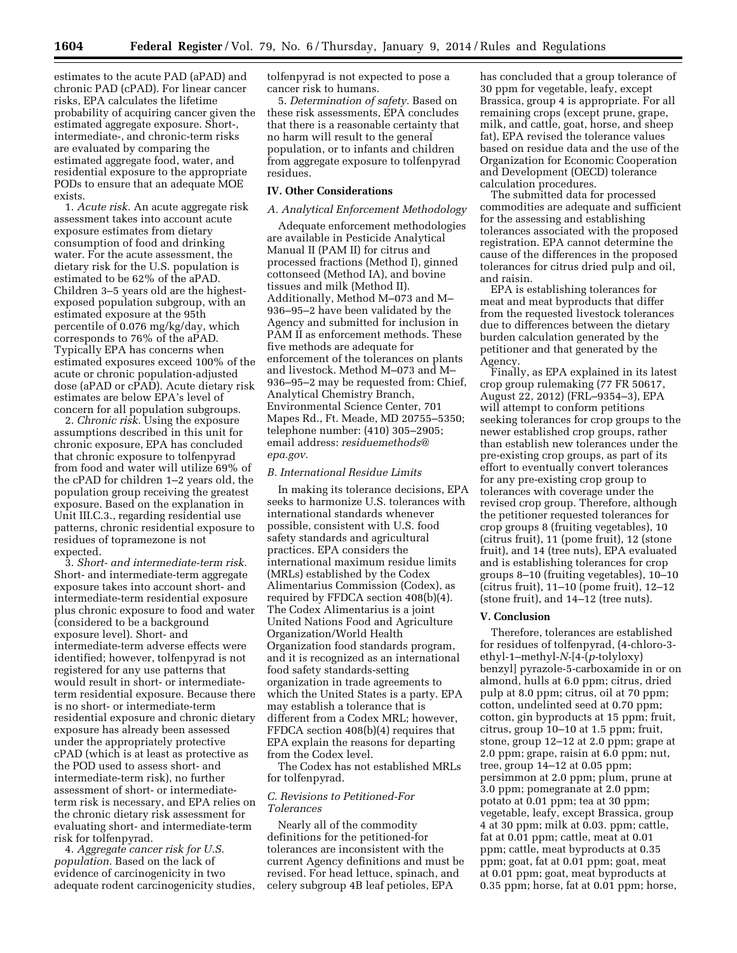**1604 Federal Register** / Vol. 79, No. 6 / Thursday, January 9, 2014 / Rules and Regulations

estimates to the acute PAD (aPAD) and chronic PAD (cPAD). For linear cancer risks, EPA calculates the lifetime probability of acquiring cancer given the estimated aggregate exposure. Short-, intermediate-, and chronic-term risks are evaluated by comparing the estimated aggregate food, water, and residential exposure to the appropriate PODs to ensure that an adequate MOE exists.

1. *Acute risk.* An acute aggregate risk assessment takes into account acute exposure estimates from dietary consumption of food and drinking water. For the acute assessment, the dietary risk for the U.S. population is estimated to be 62% of the aPAD. Children 3–5 years old are the highestexposed population subgroup, with an estimated exposure at the 95th percentile of 0.076 mg/kg/day, which corresponds to 76% of the aPAD. Typically EPA has concerns when estimated exposures exceed 100% of the acute or chronic population-adjusted dose (aPAD or cPAD). Acute dietary risk estimates are below EPA's level of concern for all population subgroups.

2. *Chronic risk.* Using the exposure assumptions described in this unit for chronic exposure, EPA has concluded that chronic exposure to tolfenpyrad from food and water will utilize 69% of the cPAD for children 1–2 years old, the population group receiving the greatest exposure. Based on the explanation in Unit III.C.3., regarding residential use patterns, chronic residential exposure to residues of topramezone is not expected.

3. *Short- and intermediate-term risk.*  Short- and intermediate-term aggregate exposure takes into account short- and intermediate-term residential exposure plus chronic exposure to food and water (considered to be a background exposure level). Short- and intermediate-term adverse effects were identified; however, tolfenpyrad is not registered for any use patterns that would result in short- or intermediateterm residential exposure. Because there is no short- or intermediate-term residential exposure and chronic dietary exposure has already been assessed under the appropriately protective cPAD (which is at least as protective as the POD used to assess short- and intermediate-term risk), no further assessment of short- or intermediateterm risk is necessary, and EPA relies on the chronic dietary risk assessment for evaluating short- and intermediate-term risk for tolfenpyrad.

4. *Aggregate cancer risk for U.S. population.* Based on the lack of evidence of carcinogenicity in two adequate rodent carcinogenicity studies, tolfenpyrad is not expected to pose a cancer risk to humans.

5. *Determination of safety.* Based on these risk assessments, EPA concludes that there is a reasonable certainty that no harm will result to the general population, or to infants and children from aggregate exposure to tolfenpyrad residues.

## **IV. Other Considerations**

## *A. Analytical Enforcement Methodology*

Adequate enforcement methodologies are available in Pesticide Analytical Manual II (PAM II) for citrus and processed fractions (Method I), ginned cottonseed (Method IA), and bovine tissues and milk (Method II). Additionally, Method M–073 and M– 936–95–2 have been validated by the Agency and submitted for inclusion in PAM II as enforcement methods. These five methods are adequate for enforcement of the tolerances on plants and livestock. Method M–073 and M– 936–95–2 may be requested from: Chief, Analytical Chemistry Branch, Environmental Science Center, 701 Mapes Rd., Ft. Meade, MD 20755–5350; telephone number: (410) 305–2905; email address: *[residuemethods@](mailto:residuemethods@epa.gov) [epa.gov.](mailto:residuemethods@epa.gov)* 

#### *B. International Residue Limits*

In making its tolerance decisions, EPA seeks to harmonize U.S. tolerances with international standards whenever possible, consistent with U.S. food safety standards and agricultural practices. EPA considers the international maximum residue limits (MRLs) established by the Codex Alimentarius Commission (Codex), as required by FFDCA section 408(b)(4). The Codex Alimentarius is a joint United Nations Food and Agriculture Organization/World Health Organization food standards program, and it is recognized as an international food safety standards-setting organization in trade agreements to which the United States is a party. EPA may establish a tolerance that is different from a Codex MRL; however, FFDCA section 408(b)(4) requires that EPA explain the reasons for departing from the Codex level.

The Codex has not established MRLs for tolfenpyrad.

## *C. Revisions to Petitioned-For Tolerances*

Nearly all of the commodity definitions for the petitioned-for tolerances are inconsistent with the current Agency definitions and must be revised. For head lettuce, spinach, and celery subgroup 4B leaf petioles, EPA

has concluded that a group tolerance of 30 ppm for vegetable, leafy, except Brassica, group 4 is appropriate. For all remaining crops (except prune, grape, milk, and cattle, goat, horse, and sheep fat), EPA revised the tolerance values based on residue data and the use of the Organization for Economic Cooperation and Development (OECD) tolerance calculation procedures.

The submitted data for processed commodities are adequate and sufficient for the assessing and establishing tolerances associated with the proposed registration. EPA cannot determine the cause of the differences in the proposed tolerances for citrus dried pulp and oil, and raisin.

EPA is establishing tolerances for meat and meat byproducts that differ from the requested livestock tolerances due to differences between the dietary burden calculation generated by the petitioner and that generated by the Agency.

Finally, as EPA explained in its latest crop group rulemaking (77 FR 50617, August 22, 2012) (FRL–9354–3), EPA will attempt to conform petitions seeking tolerances for crop groups to the newer established crop groups, rather than establish new tolerances under the pre-existing crop groups, as part of its effort to eventually convert tolerances for any pre-existing crop group to tolerances with coverage under the revised crop group. Therefore, although the petitioner requested tolerances for crop groups 8 (fruiting vegetables), 10 (citrus fruit), 11 (pome fruit), 12 (stone fruit), and 14 (tree nuts), EPA evaluated and is establishing tolerances for crop groups 8–10 (fruiting vegetables), 10–10 (citrus fruit), 11–10 (pome fruit), 12–12 (stone fruit), and 14–12 (tree nuts).

## **V. Conclusion**

Therefore, tolerances are established for residues of tolfenpyrad, (4-chloro-3 ethyl-1–methyl-*N-*[4-(*p*-tolyloxy) benzyl] pyrazole-5-carboxamide in or on almond, hulls at 6.0 ppm; citrus, dried pulp at 8.0 ppm; citrus, oil at 70 ppm; cotton, undelinted seed at 0.70 ppm; cotton, gin byproducts at 15 ppm; fruit, citrus, group 10–10 at 1.5 ppm; fruit, stone, group 12–12 at 2.0 ppm; grape at 2.0 ppm; grape, raisin at 6.0 ppm; nut, tree, group 14–12 at 0.05 ppm; persimmon at 2.0 ppm; plum, prune at 3.0 ppm; pomegranate at 2.0 ppm; potato at 0.01 ppm; tea at 30 ppm; vegetable, leafy, except Brassica, group 4 at 30 ppm; milk at 0.03. ppm; cattle, fat at 0.01 ppm; cattle, meat at 0.01 ppm; cattle, meat byproducts at 0.35 ppm; goat, fat at 0.01 ppm; goat, meat at 0.01 ppm; goat, meat byproducts at 0.35 ppm; horse, fat at 0.01 ppm; horse,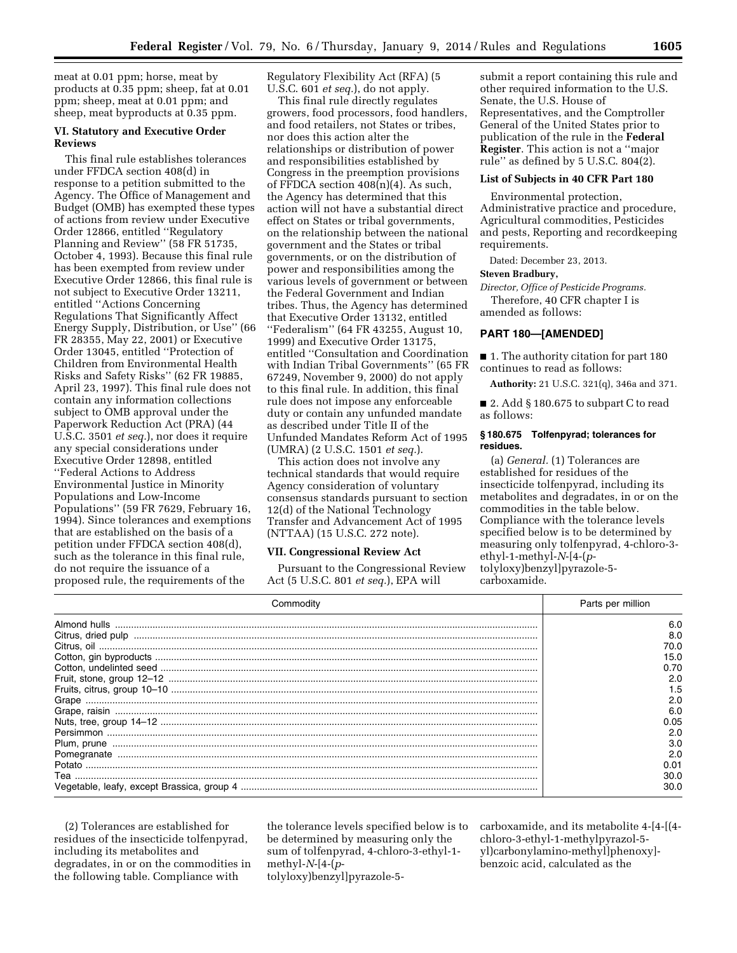meat at 0.01 ppm; horse, meat by products at 0.35 ppm; sheep, fat at 0.01 ppm; sheep, meat at 0.01 ppm; and sheep, meat byproducts at 0.35 ppm.

## **VI. Statutory and Executive Order Reviews**

This final rule establishes tolerances under FFDCA section 408(d) in response to a petition submitted to the Agency. The Office of Management and Budget (OMB) has exempted these types of actions from review under Executive Order 12866, entitled ''Regulatory Planning and Review'' (58 FR 51735, October 4, 1993). Because this final rule has been exempted from review under Executive Order 12866, this final rule is not subject to Executive Order 13211, entitled ''Actions Concerning Regulations That Significantly Affect Energy Supply, Distribution, or Use'' (66 FR 28355, May 22, 2001) or Executive Order 13045, entitled ''Protection of Children from Environmental Health Risks and Safety Risks'' (62 FR 19885, April 23, 1997). This final rule does not contain any information collections subject to OMB approval under the Paperwork Reduction Act (PRA) (44 U.S.C. 3501 *et seq.*), nor does it require any special considerations under Executive Order 12898, entitled ''Federal Actions to Address Environmental Justice in Minority Populations and Low-Income Populations'' (59 FR 7629, February 16, 1994). Since tolerances and exemptions that are established on the basis of a petition under FFDCA section 408(d), such as the tolerance in this final rule, do not require the issuance of a proposed rule, the requirements of the

Regulatory Flexibility Act (RFA) (5 U.S.C. 601 *et seq.*), do not apply.

This final rule directly regulates growers, food processors, food handlers, and food retailers, not States or tribes, nor does this action alter the relationships or distribution of power and responsibilities established by Congress in the preemption provisions of FFDCA section 408(n)(4). As such, the Agency has determined that this action will not have a substantial direct effect on States or tribal governments, on the relationship between the national government and the States or tribal governments, or on the distribution of power and responsibilities among the various levels of government or between the Federal Government and Indian tribes. Thus, the Agency has determined that Executive Order 13132, entitled ''Federalism'' (64 FR 43255, August 10, 1999) and Executive Order 13175, entitled ''Consultation and Coordination with Indian Tribal Governments'' (65 FR 67249, November 9, 2000) do not apply to this final rule. In addition, this final rule does not impose any enforceable duty or contain any unfunded mandate as described under Title II of the Unfunded Mandates Reform Act of 1995 (UMRA) (2 U.S.C. 1501 *et seq.*).

This action does not involve any technical standards that would require Agency consideration of voluntary consensus standards pursuant to section 12(d) of the National Technology Transfer and Advancement Act of 1995 (NTTAA) (15 U.S.C. 272 note).

### **VII. Congressional Review Act**

Pursuant to the Congressional Review Act (5 U.S.C. 801 *et seq.*), EPA will

submit a report containing this rule and other required information to the U.S. Senate, the U.S. House of Representatives, and the Comptroller General of the United States prior to publication of the rule in the **Federal Register**. This action is not a ''major rule'' as defined by 5 U.S.C. 804(2).

#### **List of Subjects in 40 CFR Part 180**

Environmental protection, Administrative practice and procedure, Agricultural commodities, Pesticides and pests, Reporting and recordkeeping requirements.

Dated: December 23, 2013.

## **Steven Bradbury,**

*Director, Office of Pesticide Programs.*  Therefore, 40 CFR chapter I is

amended as follows:

## **PART 180—[AMENDED]**

■ 1. The authority citation for part 180 continues to read as follows:

**Authority:** 21 U.S.C. 321(q), 346a and 371.

■ 2. Add § 180.675 to subpart C to read as follows:

### **§ 180.675 Tolfenpyrad; tolerances for residues.**

(a) *General.* (1) Tolerances are established for residues of the insecticide tolfenpyrad, including its metabolites and degradates, in or on the commodities in the table below. Compliance with the tolerance levels specified below is to be determined by measuring only tolfenpyrad, 4-chloro-3 ethyl-1-methyl-*N*-[4-(*p*tolyloxy)benzyl]pyrazole-5 carboxamide.

| Commodity                                                                                                     | Parts per million |
|---------------------------------------------------------------------------------------------------------------|-------------------|
|                                                                                                               | 6.0               |
|                                                                                                               | 8.0               |
|                                                                                                               | 70.0              |
|                                                                                                               | 15.0              |
|                                                                                                               | 0.70              |
| Cotton, gin byproducts<br>Cotton, undelinted seed<br>Fruit, stone, group 12-12<br>Fruits, citrus, group 10-10 | 2.0               |
|                                                                                                               | 1.5               |
|                                                                                                               | 2.0               |
|                                                                                                               | 6.0               |
|                                                                                                               | 0.05              |
|                                                                                                               | 2.0               |
|                                                                                                               | 3.0               |
|                                                                                                               | 2.0               |
|                                                                                                               | 0.01              |
| Теа                                                                                                           | 30.0              |
|                                                                                                               | 30.O              |

(2) Tolerances are established for residues of the insecticide tolfenpyrad, including its metabolites and degradates, in or on the commodities in the following table. Compliance with

the tolerance levels specified below is to be determined by measuring only the sum of tolfenpyrad, 4-chloro-3-ethyl-1 methyl-*N*-[4-(*p*tolyloxy)benzyl]pyrazole-5carboxamide, and its metabolite 4-[4-[(4 chloro-3-ethyl-1-methylpyrazol-5 yl)carbonylamino-methyl]phenoxy] benzoic acid, calculated as the